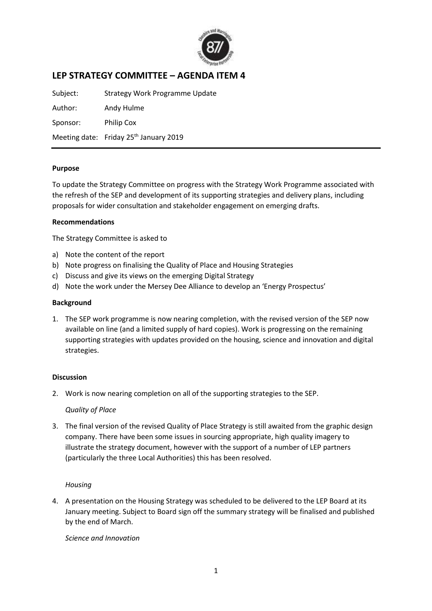

# **LEP STRATEGY COMMITTEE – AGENDA ITEM 4**

Subject: Strategy Work Programme Update Author: Andy Hulme Sponsor: Philip Cox Meeting date: Friday 25<sup>th</sup> January 2019

### **Purpose**

To update the Strategy Committee on progress with the Strategy Work Programme associated with the refresh of the SEP and development of its supporting strategies and delivery plans, including proposals for wider consultation and stakeholder engagement on emerging drafts.

### **Recommendations**

The Strategy Committee is asked to

- a) Note the content of the report
- b) Note progress on finalising the Quality of Place and Housing Strategies
- c) Discuss and give its views on the emerging Digital Strategy
- d) Note the work under the Mersey Dee Alliance to develop an 'Energy Prospectus'

#### **Background**

1. The SEP work programme is now nearing completion, with the revised version of the SEP now available on line (and a limited supply of hard copies). Work is progressing on the remaining supporting strategies with updates provided on the housing, science and innovation and digital strategies.

#### **Discussion**

2. Work is now nearing completion on all of the supporting strategies to the SEP.

# *Quality of Place*

3. The final version of the revised Quality of Place Strategy is still awaited from the graphic design company. There have been some issues in sourcing appropriate, high quality imagery to illustrate the strategy document, however with the support of a number of LEP partners (particularly the three Local Authorities) this has been resolved.

# *Housing*

4. A presentation on the Housing Strategy was scheduled to be delivered to the LEP Board at its January meeting. Subject to Board sign off the summary strategy will be finalised and published by the end of March.

#### *Science and Innovation*